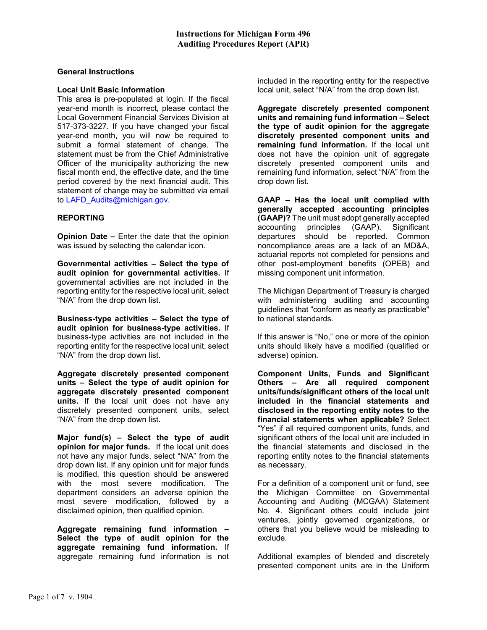#### General Instructions

#### Local Unit Basic Information

This area is pre-populated at login. If the fiscal year-end month is incorrect, please contact the Local Government Financial Services Division at 517-373-3227. If you have changed your fiscal year-end month, you will now be required to submit a formal statement of change. The statement must be from the Chief Administrative Officer of the municipality authorizing the new fiscal month end, the effective date, and the time period covered by the next financial audit. This statement of change may be submitted via email to LAFD Audits@michigan.gov.

## REPORTING

Opinion Date – Enter the date that the opinion was issued by selecting the calendar icon.

Governmental activities – Select the type of audit opinion for governmental activities. If governmental activities are not included in the reporting entity for the respective local unit, select "N/A" from the drop down list.

Business-type activities – Select the type of audit opinion for business-type activities. If business-type activities are not included in the reporting entity for the respective local unit, select "N/A" from the drop down list.

Aggregate discretely presented component units – Select the type of audit opinion for aggregate discretely presented component units. If the local unit does not have any discretely presented component units, select "N/A" from the drop down list.

Major fund(s) – Select the type of audit opinion for major funds. If the local unit does not have any major funds, select "N/A" from the drop down list. If any opinion unit for major funds is modified, this question should be answered with the most severe modification. The department considers an adverse opinion the most severe modification, followed by a disclaimed opinion, then qualified opinion.

Aggregate remaining fund information – Select the type of audit opinion for the aggregate remaining fund information. If aggregate remaining fund information is not included in the reporting entity for the respective local unit, select "N/A" from the drop down list.

Aggregate discretely presented component units and remaining fund information – Select the type of audit opinion for the aggregate discretely presented component units and remaining fund information. If the local unit does not have the opinion unit of aggregate discretely presented component units and remaining fund information, select "N/A" from the drop down list.

GAAP – Has the local unit complied with generally accepted accounting principles (GAAP)? The unit must adopt generally accepted accounting principles (GAAP). Significant departures should be reported. Common noncompliance areas are a lack of an MD&A, actuarial reports not completed for pensions and other post-employment benefits (OPEB) and missing component unit information.

The Michigan Department of Treasury is charged with administering auditing and accounting guidelines that "conform as nearly as practicable" to national standards.

If this answer is "No," one or more of the opinion units should likely have a modified (qualified or adverse) opinion.

Component Units, Funds and Significant Others – Are all required component units/funds/significant others of the local unit included in the financial statements and disclosed in the reporting entity notes to the financial statements when applicable? Select "Yes" if all required component units, funds, and significant others of the local unit are included in the financial statements and disclosed in the reporting entity notes to the financial statements as necessary.

For a definition of a component unit or fund, see the Michigan Committee on Governmental Accounting and Auditing (MCGAA) Statement No. 4. Significant others could include joint ventures, jointly governed organizations, or others that you believe would be misleading to exclude.

Additional examples of blended and discretely presented component units are in the Uniform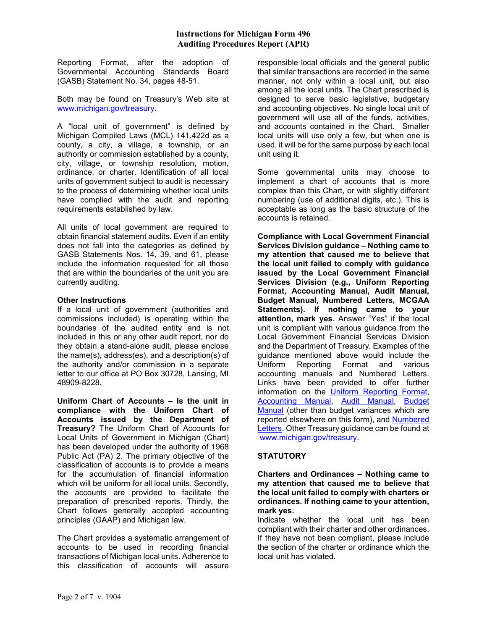Reporting Format, after the adoption of Governmental Accounting Standards Board (GASB) Statement No. 34, pages 48-51.

Both may be found on Treasury's Web site at www.michigan.gov/treasury.

A "local unit of government" is defined by Michigan Compiled Laws (MCL) 141.422d as a county, a city, a village, a township, or an authority or commission established by a county, city, village, or township resolution, motion, ordinance, or charter. Identification of all local units of government subject to audit is necessary to the process of determining whether local units have complied with the audit and reporting requirements established by law.

All units of local government are required to obtain financial statement audits. Even if an entity does not fall into the categories as defined by GASB Statements Nos. 14, 39, and 61, please include the information requested for all those that are within the boundaries of the unit you are currently auditing.

## Other Instructions

If a local unit of government (authorities and commissions included) is operating within the boundaries of the audited entity and is not included in this or any other audit report, nor do they obtain a stand-alone audit, please enclose the name(s), address(es), and a description(s) of the authority and/or commission in a separate letter to our office at PO Box 30728, Lansing, MI 48909-8228.

Uniform Chart of Accounts – Is the unit in compliance with the Uniform Chart of Accounts issued by the Department of Treasury? The Uniform Chart of Accounts for Local Units of Government in Michigan (Chart) has been developed under the authority of 1968 Public Act (PA) 2. The primary objective of the classification of accounts is to provide a means for the accumulation of financial information which will be uniform for all local units. Secondly, the accounts are provided to facilitate the preparation of prescribed reports. Thirdly, the Chart follows generally accepted accounting principles (GAAP) and Michigan law.

The Chart provides a systematic arrangement of accounts to be used in recording financial transactions of Michigan local units. Adherence to this classification of accounts will assure

responsible local officials and the general public that similar transactions are recorded in the same manner, not only within a local unit, but also among all the local units. The Chart prescribed is designed to serve basic legislative, budgetary and accounting objectives. No single local unit of government will use all of the funds, activities, and accounts contained in the Chart. Smaller local units will use only a few, but when one is used, it will be for the same purpose by each local unit using it.

Some governmental units may choose to implement a chart of accounts that is more complex than this Chart, or with slightly different numbering (use of additional digits, etc.). This is acceptable as long as the basic structure of the accounts is retained.

Compliance with Local Government Financial Services Division guidance – Nothing came to my attention that caused me to believe that the local unit failed to comply with guidance issued by the Local Government Financial Services Division (e.g., Uniform Reporting Format, Accounting Manual, Audit Manual, Budget Manual, Numbered Letters, MCGAA Statements). If nothing came to your attention, mark yes. Answer "Yes" if the local unit is compliant with various guidance from the Local Government Financial Services Division and the Department of Treasury. Examples of the guidance mentioned above would include the Uniform Reporting Format and various accounting manuals and Numbered Letters. Links have been provided to offer further information on the Uniform Reporting Format, Accounting Manual, Audit Manual, Budget Manual (other than budget variances which are reported elsewhere on this form), and Numbered Letters. Other Treasury guidance can be found at www.michigan.gov/treasury.

# **STATUTORY**

#### Charters and Ordinances – Nothing came to my attention that caused me to believe that the local unit failed to comply with charters or ordinances. If nothing came to your attention, mark yes.

Indicate whether the local unit has been compliant with their charter and other ordinances. If they have not been compliant, please include the section of the charter or ordinance which the local unit has violated.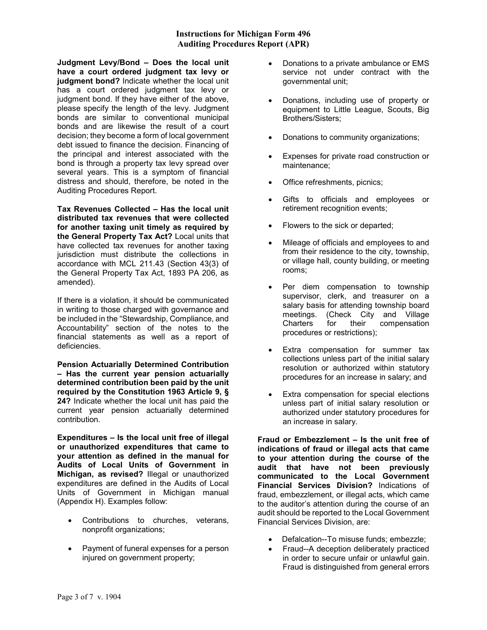## Instructions for Michigan Form 496 Auditing Procedures Report (APR)

Judgment Levy/Bond – Does the local unit have a court ordered judgment tax levy or judgment bond? Indicate whether the local unit has a court ordered judgment tax levy or judgment bond. If they have either of the above, please specify the length of the levy. Judgment bonds are similar to conventional municipal bonds and are likewise the result of a court decision; they become a form of local government debt issued to finance the decision. Financing of the principal and interest associated with the bond is through a property tax levy spread over several years. This is a symptom of financial distress and should, therefore, be noted in the Auditing Procedures Report.

Tax Revenues Collected – Has the local unit distributed tax revenues that were collected for another taxing unit timely as required by the General Property Tax Act? Local units that have collected tax revenues for another taxing jurisdiction must distribute the collections in accordance with MCL 211.43 (Section 43(3) of the General Property Tax Act, 1893 PA 206, as amended).

If there is a violation, it should be communicated in writing to those charged with governance and be included in the "Stewardship, Compliance, and Accountability" section of the notes to the financial statements as well as a report of deficiencies.

Pension Actuarially Determined Contribution – Has the current year pension actuarially determined contribution been paid by the unit required by the Constitution 1963 Article 9, § 24? Indicate whether the local unit has paid the current year pension actuarially determined contribution.

Expenditures – Is the local unit free of illegal or unauthorized expenditures that came to your attention as defined in the manual for Audits of Local Units of Government in Michigan, as revised? Illegal or unauthorized expenditures are defined in the Audits of Local Units of Government in Michigan manual (Appendix H). Examples follow:

- Contributions to churches, veterans, nonprofit organizations;
- Payment of funeral expenses for a person injured on government property;
- Donations to a private ambulance or EMS service not under contract with the governmental unit;
- Donations, including use of property or equipment to Little League, Scouts, Big Brothers/Sisters;
- Donations to community organizations;
- Expenses for private road construction or maintenance;
- Office refreshments, picnics;
- Gifts to officials and employees or retirement recognition events;
- Flowers to the sick or departed;
- Mileage of officials and employees to and from their residence to the city, township, or village hall, county building, or meeting rooms;
- Per diem compensation to township supervisor, clerk, and treasurer on a salary basis for attending township board meetings. (Check City and Village Charters for their compensation procedures or restrictions);
- Extra compensation for summer tax collections unless part of the initial salary resolution or authorized within statutory procedures for an increase in salary; and
- Extra compensation for special elections unless part of initial salary resolution or authorized under statutory procedures for an increase in salary.

Fraud or Embezzlement – Is the unit free of indications of fraud or illegal acts that came to your attention during the course of the audit that have not been previously communicated to the Local Government Financial Services Division? Indications of fraud, embezzlement, or illegal acts, which came to the auditor's attention during the course of an audit should be reported to the Local Government Financial Services Division, are:

- Defalcation--To misuse funds; embezzle;
- Fraud--A deception deliberately practiced in order to secure unfair or unlawful gain. Fraud is distinguished from general errors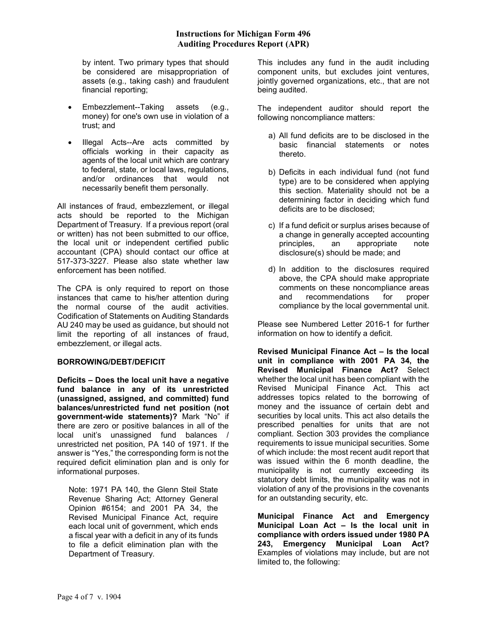by intent. Two primary types that should be considered are misappropriation of assets (e.g., taking cash) and fraudulent financial reporting;

- Embezzlement--Taking assets (e.g., money) for one's own use in violation of a trust; and
- Illegal Acts--Are acts committed by officials working in their capacity as agents of the local unit which are contrary to federal, state, or local laws, regulations, and/or ordinances that would not necessarily benefit them personally.

All instances of fraud, embezzlement, or illegal acts should be reported to the Michigan Department of Treasury. If a previous report (oral or written) has not been submitted to our office, the local unit or independent certified public accountant (CPA) should contact our office at 517-373-3227. Please also state whether law enforcement has been notified.

The CPA is only required to report on those instances that came to his/her attention during the normal course of the audit activities. Codification of Statements on Auditing Standards AU 240 may be used as guidance, but should not limit the reporting of all instances of fraud, embezzlement, or illegal acts.

# BORROWING/DEBT/DEFICIT

Deficits – Does the local unit have a negative fund balance in any of its unrestricted (unassigned, assigned, and committed) fund balances/unrestricted fund net position (not government-wide statements)? Mark "No" if there are zero or positive balances in all of the local unit's unassigned fund balances / unrestricted net position, PA 140 of 1971. If the answer is "Yes," the corresponding form is not the required deficit elimination plan and is only for informational purposes.

Note: 1971 PA 140, the Glenn Steil State Revenue Sharing Act; Attorney General Opinion #6154; and 2001 PA 34, the Revised Municipal Finance Act, require each local unit of government, which ends a fiscal year with a deficit in any of its funds to file a deficit elimination plan with the Department of Treasury.

This includes any fund in the audit including component units, but excludes joint ventures, jointly governed organizations, etc., that are not being audited.

The independent auditor should report the following noncompliance matters:

- a) All fund deficits are to be disclosed in the basic financial statements or notes thereto.
- b) Deficits in each individual fund (not fund type) are to be considered when applying this section. Materiality should not be a determining factor in deciding which fund deficits are to be disclosed;
- c) If a fund deficit or surplus arises because of a change in generally accepted accounting principles, an appropriate note disclosure(s) should be made; and
- d) In addition to the disclosures required above, the CPA should make appropriate comments on these noncompliance areas and recommendations for proper compliance by the local governmental unit.

Please see Numbered Letter 2016-1 for further information on how to identify a deficit.

Revised Municipal Finance Act – Is the local unit in compliance with 2001 PA 34, the Revised Municipal Finance Act? Select whether the local unit has been compliant with the Revised Municipal Finance Act. This act addresses topics related to the borrowing of money and the issuance of certain debt and securities by local units. This act also details the prescribed penalties for units that are not compliant. Section 303 provides the compliance requirements to issue municipal securities. Some of which include: the most recent audit report that was issued within the 6 month deadline, the municipality is not currently exceeding its statutory debt limits, the municipality was not in violation of any of the provisions in the covenants for an outstanding security, etc.

Municipal Finance Act and Emergency Municipal Loan Act – Is the local unit in compliance with orders issued under 1980 PA 243, Emergency Municipal Loan Act? Examples of violations may include, but are not limited to, the following: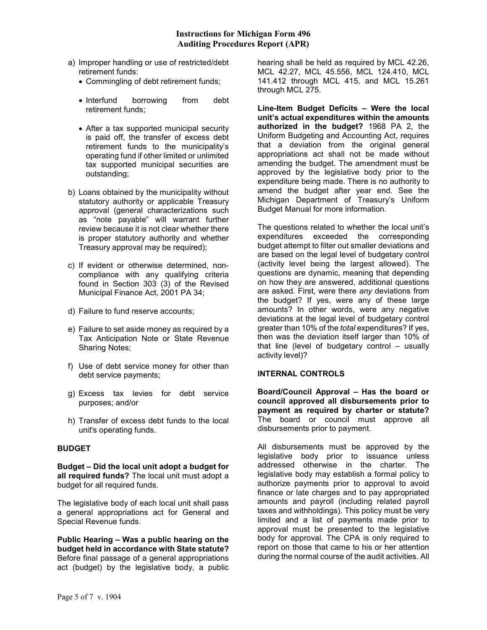- a) Improper handling or use of restricted/debt retirement funds:
	- Commingling of debt retirement funds;
	- Interfund borrowing from debt retirement funds;
	- After a tax supported municipal security is paid off, the transfer of excess debt retirement funds to the municipality's operating fund if other limited or unlimited tax supported municipal securities are outstanding;
- b) Loans obtained by the municipality without statutory authority or applicable Treasury approval (general characterizations such as "note payable" will warrant further review because it is not clear whether there is proper statutory authority and whether Treasury approval may be required);
- c) If evident or otherwise determined, non compliance with any qualifying criteria found in Section 303 (3) of the Revised Municipal Finance Act, 2001 PA 34;
- d) Failure to fund reserve accounts;
- e) Failure to set aside money as required by a Tax Anticipation Note or State Revenue Sharing Notes;
- f) Use of debt service money for other than debt service payments;
- g) Excess tax levies for debt service purposes; and/or
- h) Transfer of excess debt funds to the local unit's operating funds.

# BUDGET

Budget – Did the local unit adopt a budget for all required funds? The local unit must adopt a budget for all required funds.

The legislative body of each local unit shall pass a general appropriations act for General and Special Revenue funds.

Public Hearing – Was a public hearing on the budget held in accordance with State statute? Before final passage of a general appropriations act (budget) by the legislative body, a public

hearing shall be held as required by MCL 42.26, MCL 42.27, MCL 45.556, MCL 124.410, MCL 141.412 through MCL 415, and MCL 15.261 through MCL 275.

Line-Item Budget Deficits – Were the local unit's actual expenditures within the amounts authorized in the budget? 1968 PA 2, the Uniform Budgeting and Accounting Act, requires that a deviation from the original general appropriations act shall not be made without amending the budget. The amendment must be approved by the legislative body prior to the expenditure being made. There is no authority to amend the budget after year end. See the Michigan Department of Treasury's Uniform Budget Manual for more information.

The questions related to whether the local unit's expenditures exceeded the corresponding budget attempt to filter out smaller deviations and are based on the legal level of budgetary control (activity level being the largest allowed). The questions are dynamic, meaning that depending on how they are answered, additional questions are asked. First, were there any deviations from the budget? If yes, were any of these large amounts? In other words, were any negative deviations at the legal level of budgetary control greater than 10% of the total expenditures? If yes, then was the deviation itself larger than 10% of that line (level of budgetary control – usually activity level)?

#### INTERNAL CONTROLS

Board/Council Approval – Has the board or council approved all disbursements prior to payment as required by charter or statute? The board or council must approve all disbursements prior to payment.

All disbursements must be approved by the legislative body prior to issuance unless addressed otherwise in the charter. The legislative body may establish a formal policy to authorize payments prior to approval to avoid finance or late charges and to pay appropriated amounts and payroll (including related payroll taxes and withholdings). This policy must be very limited and a list of payments made prior to approval must be presented to the legislative body for approval. The CPA is only required to report on those that came to his or her attention during the normal course of the audit activities. All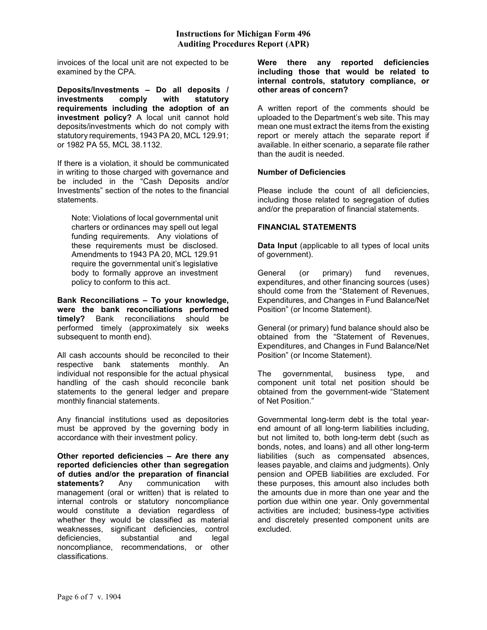invoices of the local unit are not expected to be examined by the CPA.

Deposits/Investments – Do all deposits / investments comply with statutory requirements including the adoption of an investment policy? A local unit cannot hold deposits/investments which do not comply with statutory requirements, 1943 PA 20, MCL 129.91; or 1982 PA 55, MCL 38.1132.

If there is a violation, it should be communicated in writing to those charged with governance and be included in the "Cash Deposits and/or Investments" section of the notes to the financial statements.

Note: Violations of local governmental unit charters or ordinances may spell out legal funding requirements. Any violations of these requirements must be disclosed. Amendments to 1943 PA 20, MCL 129.91 require the governmental unit's legislative body to formally approve an investment policy to conform to this act.

Bank Reconciliations – To your knowledge, were the bank reconciliations performed timely? Bank reconciliations should be performed timely (approximately six weeks subsequent to month end).

All cash accounts should be reconciled to their respective bank statements monthly. An individual not responsible for the actual physical handling of the cash should reconcile bank statements to the general ledger and prepare monthly financial statements.

Any financial institutions used as depositories must be approved by the governing body in accordance with their investment policy.

Other reported deficiencies – Are there any reported deficiencies other than segregation of duties and/or the preparation of financial statements? Any communication with management (oral or written) that is related to internal controls or statutory noncompliance would constitute a deviation regardless of whether they would be classified as material weaknesses, significant deficiencies, control deficiencies, substantial and legal noncompliance, recommendations, or other classifications.

Were there any reported deficiencies including those that would be related to internal controls, statutory compliance, or other areas of concern?

A written report of the comments should be uploaded to the Department's web site. This may mean one must extract the items from the existing report or merely attach the separate report if available. In either scenario, a separate file rather than the audit is needed.

## Number of Deficiencies

Please include the count of all deficiencies, including those related to segregation of duties and/or the preparation of financial statements.

## FINANCIAL STATEMENTS

Data Input (applicable to all types of local units of government).

General (or primary) fund revenues, expenditures, and other financing sources (uses) should come from the "Statement of Revenues, Expenditures, and Changes in Fund Balance/Net Position" (or Income Statement).

General (or primary) fund balance should also be obtained from the "Statement of Revenues, Expenditures, and Changes in Fund Balance/Net Position" (or Income Statement).

The governmental, business type, and component unit total net position should be obtained from the government-wide "Statement of Net Position."

Governmental long-term debt is the total yearend amount of all long-term liabilities including, but not limited to, both long-term debt (such as bonds, notes, and loans) and all other long-term liabilities (such as compensated absences, leases payable, and claims and judgments). Only pension and OPEB liabilities are excluded. For these purposes, this amount also includes both the amounts due in more than one year and the portion due within one year. Only governmental activities are included; business-type activities and discretely presented component units are excluded.